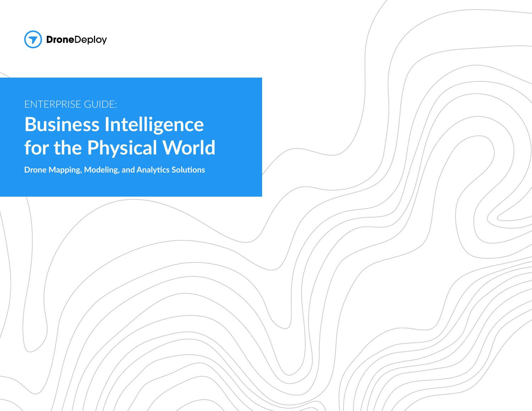

#### ENTERPRISE GUIDE:

# **Business Intelligence for the Physical World**

**Drone Mapping, Modeling, and Analytics Solutions**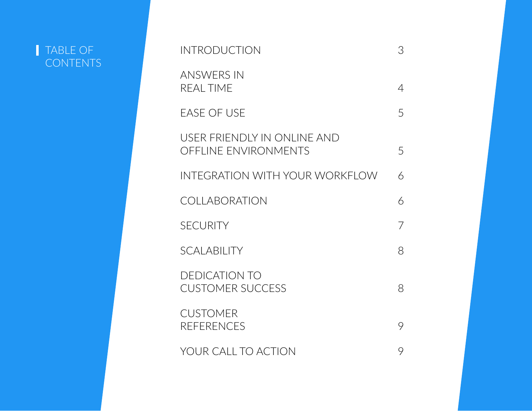#### TABLE OF **CONTENTS**

| <b>INTRODUCTION</b>                                        | 3 |
|------------------------------------------------------------|---|
| <b>ANSWERS IN</b><br><b>REAL TIME</b>                      | 4 |
| <b>EASE OF USE</b>                                         | 5 |
| USER FRIENDLY IN ONLINE AND<br><b>OFFLINE ENVIRONMENTS</b> | 5 |
| INTEGRATION WITH YOUR WORKFLOW                             | 6 |
| <b>COLLABORATION</b>                                       | 6 |
| <b>SECURITY</b>                                            | 7 |
| <b>SCALABILITY</b>                                         | 8 |
| <b>DEDICATION TO</b><br><b>CUSTOMER SUCCESS</b>            | 8 |
| <b>CUSTOMER</b><br><b>REFERENCES</b>                       | 9 |
| YOUR CALL TO ACTION                                        | 9 |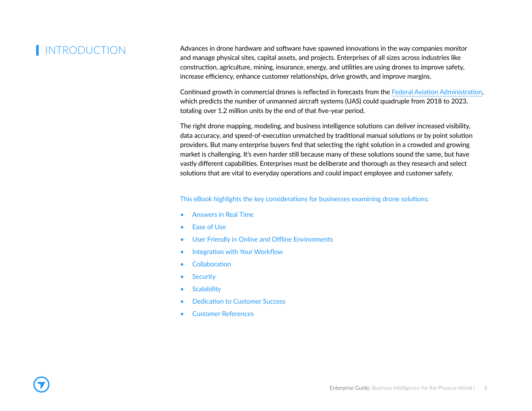#### **INTRODUCTION**

Advances in drone hardware and software have spawned innovations in the way companies monitor and manage physical sites, capital assets, and projects. Enterprises of all sizes across industries like construction, agriculture, mining, insurance, energy, and utilities are using drones to improve safety, increase efficiency, enhance customer relationships, drive growth, and improve margins.

Continued growth in commercial drones is reflected in forecasts from the Federal Aviation Administration, which predicts the number of unmanned aircraft systems (UAS) could quadruple from 2018 to 2023, totaling over 1.2 million units by the end of that five-year period.

The right drone mapping, modeling, and business intelligence solutions can deliver increased visibility, data accuracy, and speed-of-execution unmatched by traditional manual solutions or by point solution providers. But many enterprise buyers find that selecting the right solution in a crowded and growing market is challenging. It's even harder still because many of these solutions sound the same, but have vastly different capabilities. Enterprises must be deliberate and thorough as they research and select solutions that are vital to everyday operations and could impact employee and customer safety.

#### This eBook highlights the key considerations for businesses examining drone solutions:

- Answers in Real Time
- Ease of Use
- User Friendly in Online and Offline Environments
- Integration with Your Workflow
- Collaboration
- Security
- Scalability
- Dedication to Customer Success
- Customer References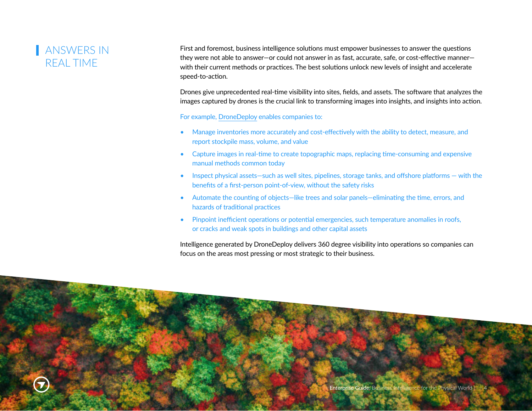## ANSWERS IN REAL TIME

First and foremost, business intelligence solutions must empower businesses to answer the questions they were not able to answer—or could not answer in as fast, accurate, safe, or cost-effective manner with their current methods or practices. The best solutions unlock new levels of insight and accelerate speed-to-action.

Drones give unprecedented real-time visibility into sites, fields, and assets. The software that analyzes the images captured by drones is the crucial link to transforming images into insights, and insights into action.

For example, DroneDeploy enables companies to:

- Manage inventories more accurately and cost-effectively with the ability to detect, measure, and report stockpile mass, volume, and value
- Capture images in real-time to create topographic maps, replacing time-consuming and expensive manual methods common today
- Inspect physical assets-such as well sites, pipelines, storage tanks, and offshore platforms with the benefits of a first-person point-of-view, without the safety risks
- Automate the counting of objects—like trees and solar panels—eliminating the time, errors, and hazards of traditional practices
- Pinpoint inefficient operations or potential emergencies, such temperature anomalies in roofs, or cracks and weak spots in buildings and other capital assets

Intelligence generated by DroneDeploy delivers 360 degree visibility into operations so companies can focus on the areas most pressing or most strategic to their business.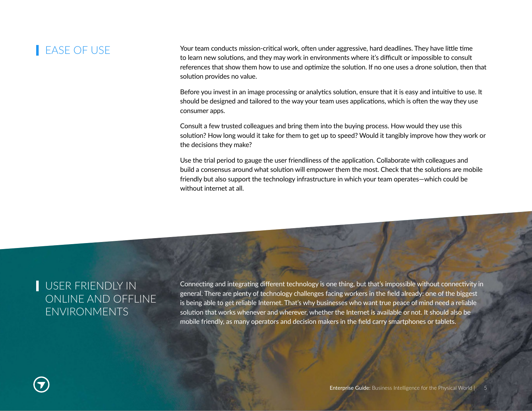#### **EASE OF USE**

Your team conducts mission-critical work, often under aggressive, hard deadlines. They have little time to learn new solutions, and they may work in environments where it's difficult or impossible to consult references that show them how to use and optimize the solution. If no one uses a drone solution, then that solution provides no value.

Before you invest in an image processing or analytics solution, ensure that it is easy and intuitive to use. It should be designed and tailored to the way your team uses applications, which is often the way they use consumer apps.

Consult a few trusted colleagues and bring them into the buying process. How would they use this solution? How long would it take for them to get up to speed? Would it tangibly improve how they work or the decisions they make?

Use the trial period to gauge the user friendliness of the application. Collaborate with colleagues and build a consensus around what solution will empower them the most. Check that the solutions are mobile friendly but also support the technology infrastructure in which your team operates—which could be without internet at all.

#### USER FRIENDLY IN ONLINE AND OFFLINE ENVIRONMENTS

Connecting and integrating different technology is one thing, but that's impossible without connectivity in general. There are plenty of technology challenges facing workers in the field already: one of the biggest is being able to get reliable Internet. That's why businesses who want true peace of mind need a reliable solution that works whenever and wherever, whether the Internet is available or not. It should also be mobile friendly, as many operators and decision makers in the field carry smartphones or tablets.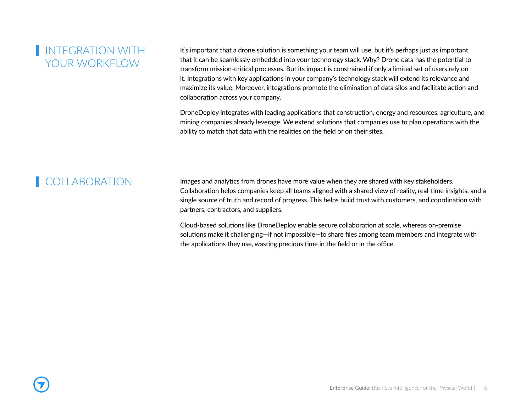#### **INTEGRATION WITH** YOUR WORKELOW

It's important that a drone solution is something your team will use, but it's perhaps just as important that it can be seamlessly embedded into your technology stack. Why? Drone data has the potential to transform mission-critical processes. But its impact is constrained if only a limited set of users rely on it. Integrations with key applications in your company's technology stack will extend its relevance and maximize its value. Moreover, integrations promote the elimination of data silos and facilitate action and collaboration across your company.

DroneDeploy integrates with leading applications that construction, energy and resources, agriculture, and mining companies already leverage. We extend solutions that companies use to plan operations with the ability to match that data with the realities on the field or on their sites.

#### **COLLABORATION**

Images and analytics from drones have more value when they are shared with key stakeholders. Collaboration helps companies keep all teams aligned with a shared view of reality, real-time insights, and a single source of truth and record of progress. This helps build trust with customers, and coordination with partners, contractors, and suppliers.

Cloud-based solutions like DroneDeploy enable secure collaboration at scale, whereas on-premise solutions make it challenging—if not impossible—to share files among team members and integrate with the applications they use, wasting precious time in the field or in the office.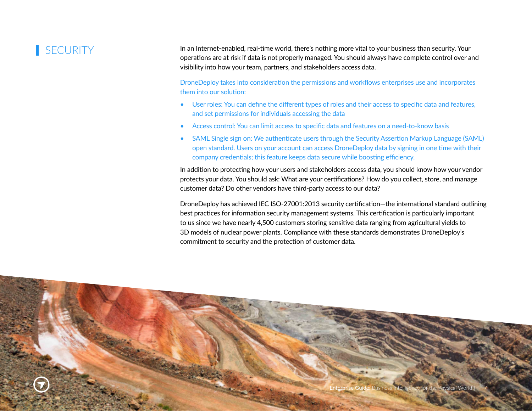#### **SECURITY**

In an Internet-enabled, real-time world, there's nothing more vital to your business than security. Your operations are at risk if data is not properly managed. You should always have complete control over and visibility into how your team, partners, and stakeholders access data.

DroneDeploy takes into consideration the permissions and workflows enterprises use and incorporates them into our solution:

- User roles: You can define the different types of roles and their access to specific data and features, and set permissions for individuals accessing the data
- Access control: You can limit access to specific data and features on a need-to-know basis
- SAML Single sign on: We authenticate users through the Security Assertion Markup Language (SAML) open standard. Users on your account can access DroneDeploy data by signing in one time with their company credentials; this feature keeps data secure while boosting efficiency.

In addition to protecting how your users and stakeholders access data, you should know how your vendor protects your data. You should ask: What are your certifications? How do you collect, store, and manage customer data? Do other vendors have third-party access to our data?

DroneDeploy has achieved IEC ISO-27001:2013 security certification—the international standard outlining best practices for information security management systems. This certification is particularly important to us since we have nearly 4,500 customers storing sensitive data ranging from agricultural yields to 3D models of nuclear power plants. Compliance with these standards demonstrates DroneDeploy's commitment to security and the protection of customer data.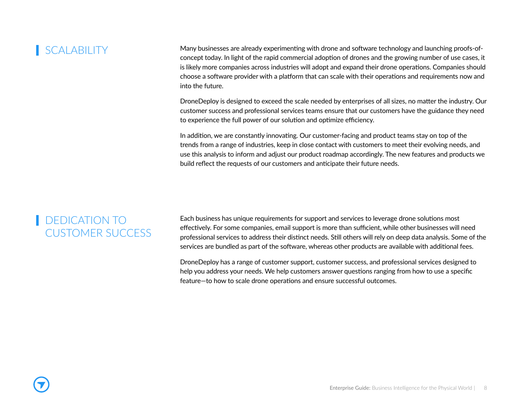#### **SCALABILITY**

Many businesses are already experimenting with drone and software technology and launching proofs-ofconcept today. In light of the rapid commercial adoption of drones and the growing number of use cases, it is likely more companies across industries will adopt and expand their drone operations. Companies should choose a software provider with a platform that can scale with their operations and requirements now and into the future.

DroneDeploy is designed to exceed the scale needed by enterprises of all sizes, no matter the industry. Our customer success and professional services teams ensure that our customers have the guidance they need to experience the full power of our solution and optimize efficiency.

In addition, we are constantly innovating. Our customer-facing and product teams stay on top of the trends from a range of industries, keep in close contact with customers to meet their evolving needs, and use this analysis to inform and adjust our product roadmap accordingly. The new features and products we build reflect the requests of our customers and anticipate their future needs.

#### DEDICATION TO CUSTOMER SUCCESS

Each business has unique requirements for support and services to leverage drone solutions most effectively. For some companies, email support is more than sufficient, while other businesses will need professional services to address their distinct needs. Still others will rely on deep data analysis. Some of the services are bundled as part of the software, whereas other products are available with additional fees.

DroneDeploy has a range of customer support, customer success, and professional services designed to help you address your needs. We help customers answer questions ranging from how to use a specific feature—to how to scale drone operations and ensure successful outcomes.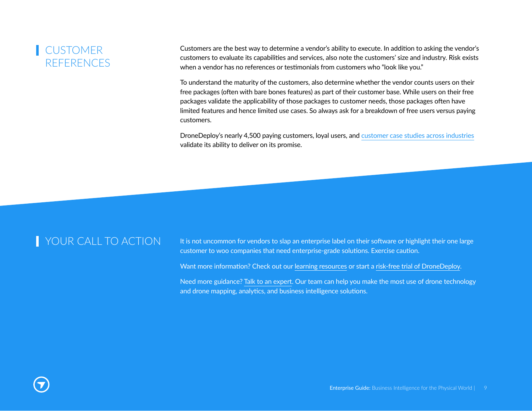## **CUSTOMER RFFERENCES**

Customers are the best way to determine a vendor's ability to execute. In addition to asking the vendor's customers to evaluate its capabilities and services, also note the customers' size and industry. Risk exists when a vendor has no references or testimonials from customers who "look like you."

To understand the maturity of the customers, also determine whether the vendor counts users on their free packages (often with bare bones features) as part of their customer base. While users on their free packages validate the applicability of those packages to customer needs, those packages often have limited features and hence limited use cases. So always ask for a breakdown of free users versus paying customers.

DroneDeploy's nearly 4,500 paying customers, loyal users, and customer case studies across industries validate its ability to deliver on its promise.

**I** YOUR CALL TO ACTION it is not uncommon for vendors to slap an enterprise label on their software or highlight their one large customer to woo companies that need enterprise-grade solutions. Exercise caution.

Want more information? Check out our learning resources or start a risk-free trial of DroneDeploy.

Need more guidance? Talk to an expert. Our team can help you make the most use of drone technology and drone mapping, analytics, and business intelligence solutions.